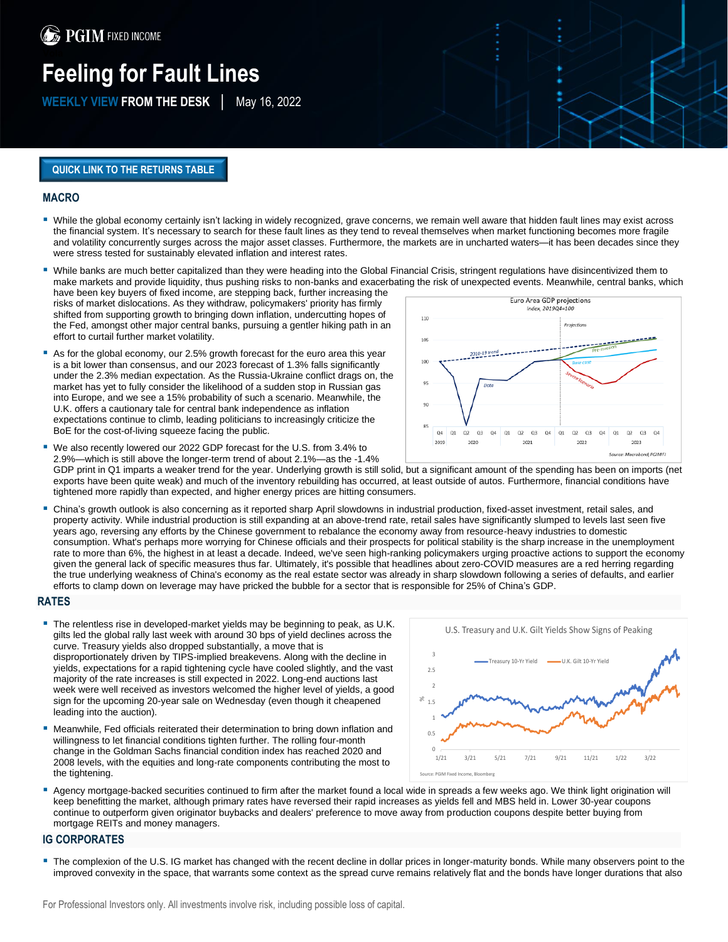

# **Feeling for Fault Lines**

WEEKLY VIEW FROM THE DESK | May 16, 2022

# **[QUICK LINK TO THE RETURNS TABLE](#page-1-0)**

## **MACRO**

- were stress tested for sustainably elevated inflation and interest rates. ▪ While the global economy certainly isn't lacking in widely recognized, grave concerns, we remain well aware that hidden fault lines may exist across the financial system. It's necessary to search for these fault lines as they tend to reveal themselves when market functioning becomes more fragile and volatility concurrently surges across the major asset classes. Furthermore, the markets are in uncharted waters—it has been decades since they
- While banks are much better capitalized than they were heading into the Global Financial Crisis, stringent regulations have disincentivized them to make markets and provide liquidity, thus pushing risks to non-banks and exacerbating the risk of unexpected events. Meanwhile, central banks, which
- have been key buyers of fixed income, are stepping back, further increasing the risks of market dislocations. As they withdraw, policymakers' priority has firmly shifted from supporting growth to bringing down inflation, undercutting hopes of the Fed, amongst other major central banks, pursuing a gentler hiking path in an effort to curtail further market volatility.
- As for the global economy, our 2.5% growth forecast for the euro area this year is a bit lower than consensus, and our 2023 forecast of 1.3% falls significantly under the 2.3% median expectation. As the Russia-Ukraine conflict drags on, the market has yet to fully consider the likelihood of a sudden stop in Russian gas into Europe, and we see a 15% probability of such a scenario. Meanwhile, the U.K. offers a cautionary tale for central bank independence as inflation expectations continue to climb, leading politicians to increasingly criticize the BoE for the cost-of-living squeeze facing the public.



- We also recently lowered our 2022 GDP forecast for the U.S. from 3.4% to 2.9%—which is still above the longer-term trend of about 2.1%—as the -1.4%
- GDP print in Q1 imparts a weaker trend for the year. Underlying growth is still solid, but a significant amount of the spending has been on imports (net exports have been quite weak) and much of the inventory rebuilding has occurred, at least outside of autos. Furthermore, financial conditions have tightened more rapidly than expected, and higher energy prices are hitting consumers.
- China's growth outlook is also concerning as it reported sharp April slowdowns in industrial production, fixed-asset investment, retail sales, and property activity. While industrial production is still expanding at an above-trend rate, retail sales have significantly slumped to levels last seen five years ago, reversing any efforts by the Chinese government to rebalance the economy away from resource-heavy industries to domestic consumption. What's perhaps more worrying for Chinese officials and their prospects for political stability is the sharp increase in the unemployment rate to more than 6%, the highest in at least a decade. Indeed, we've seen high-ranking policymakers urging proactive actions to support the economy given the general lack of specific measures thus far. Ultimately, it's possible that headlines about zero-COVID measures are a red herring regarding the true underlying weakness of China's economy as the real estate sector was already in sharp slowdown following a series of defaults, and earlier efforts to clamp down on leverage may have pricked the bubble for a sector that is responsible for 25% of China's GDP.

# **RATES**

- **The relentless rise in developed-market yields may be beginning to peak, as U.K.** gilts led the global rally last week with around 30 bps of yield declines across the curve. Treasury yields also dropped substantially, a move that is disproportionately driven by TIPS-implied breakevens. Along with the decline in yields, expectations for a rapid tightening cycle have cooled slightly, and the vast majority of the rate increases is still expected in 2022. Long-end auctions last week were well received as investors welcomed the higher level of yields, a good sign for the upcoming 20-year sale on Wednesday (even though it cheapened leading into the auction).
- Meanwhile, Fed officials reiterated their determination to bring down inflation and willingness to let financial conditions tighten further. The rolling four-month change in the Goldman Sachs financial condition index has reached 2020 and 2008 levels, with the equities and long-rate components contributing the most to the tightening.



Agency mortgage-backed securities continued to firm after the market found a local wide in spreads a few weeks ago. We think light origination will keep benefitting the market, although primary rates have reversed their rapid increases as yields fell and MBS held in. Lower 30-year coupons continue to outperform given originator buybacks and dealers' preference to move away from production coupons despite better buying from mortgage REITs and money managers.

## **IG CORPORATES**

■ The complexion of the U.S. IG market has changed with the recent decline in dollar prices in longer-maturity bonds. While many observers point to the improved convexity in the space, that warrants some context as the spread curve remains relatively flat and the bonds have longer durations that also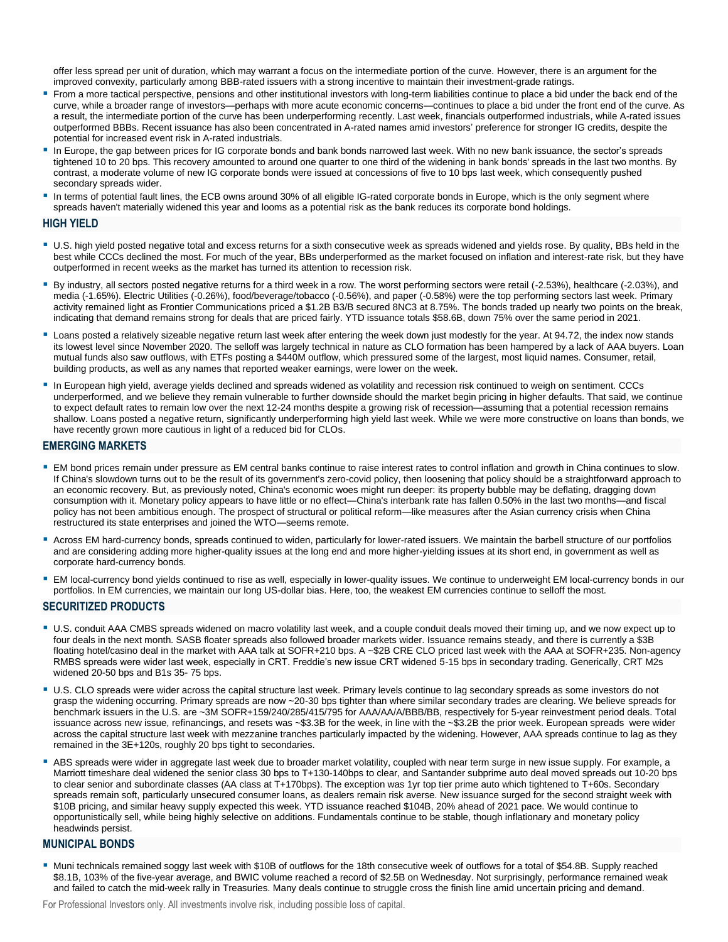offer less spread per unit of duration, which may warrant a focus on the intermediate portion of the curve. However, there is an argument for the improved convexity, particularly among BBB-rated issuers with a strong incentive to maintain their investment-grade ratings.

- From a more tactical perspective, pensions and other institutional investors with long-term liabilities continue to place a bid under the back end of the curve, while a broader range of investors—perhaps with more acute economic concerns—continues to place a bid under the front end of the curve. As a result, the intermediate portion of the curve has been underperforming recently. Last week, financials outperformed industrials, while A-rated issues outperformed BBBs. Recent issuance has also been concentrated in A-rated names amid investors' preference for stronger IG credits, despite the potential for increased event risk in A-rated industrials.
- In Europe, the gap between prices for IG corporate bonds and bank bonds narrowed last week. With no new bank issuance, the sector's spreads tightened 10 to 20 bps. This recovery amounted to around one quarter to one third of the widening in bank bonds' spreads in the last two months. By contrast, a moderate volume of new IG corporate bonds were issued at concessions of five to 10 bps last week, which consequently pushed secondary spreads wider.
- In terms of potential fault lines, the ECB owns around 30% of all eligible IG-rated corporate bonds in Europe, which is the only segment where spreads haven't materially widened this year and looms as a potential risk as the bank reduces its corporate bond holdings.

#### **HIGH YIELD**

- U.S. high yield posted negative total and excess returns for a sixth consecutive week as spreads widened and yields rose. By quality, BBs held in the best while CCCs declined the most. For much of the year, BBs underperformed as the market focused on inflation and interest-rate risk, but they have outperformed in recent weeks as the market has turned its attention to recession risk.
- By industry, all sectors posted negative returns for a third week in a row. The worst performing sectors were retail (-2.53%), healthcare (-2.03%), and media (-1.65%). Electric Utilities (-0.26%), food/beverage/tobacco (-0.56%), and paper (-0.58%) were the top performing sectors last week. Primary activity remained light as Frontier Communications priced a \$1.2B B3/B secured 8NC3 at 8.75%. The bonds traded up nearly two points on the break, indicating that demand remains strong for deals that are priced fairly. YTD issuance totals \$58.6B, down 75% over the same period in 2021.
- Loans posted a relatively sizeable negative return last week after entering the week down just modestly for the year. At 94.72, the index now stands its lowest level since November 2020. The selloff was largely technical in nature as CLO formation has been hampered by a lack of AAA buyers. Loan mutual funds also saw outflows, with ETFs posting a \$440M outflow, which pressured some of the largest, most liquid names. Consumer, retail, building products, as well as any names that reported weaker earnings, were lower on the week.
- In European high yield, average yields declined and spreads widened as volatility and recession risk continued to weigh on sentiment. CCCs underperformed, and we believe they remain vulnerable to further downside should the market begin pricing in higher defaults. That said, we continue to expect default rates to remain low over the next 12-24 months despite a growing risk of recession—assuming that a potential recession remains shallow. Loans posted a negative return, significantly underperforming high yield last week. While we were more constructive on loans than bonds, we have recently grown more cautious in light of a reduced bid for CLOs.

#### **EMERGING MARKETS**

- EM bond prices remain under pressure as EM central banks continue to raise interest rates to control inflation and growth in China continues to slow. If China's slowdown turns out to be the result of its government's zero-covid policy, then loosening that policy should be a straightforward approach to an economic recovery. But, as previously noted, China's economic woes might run deeper: its property bubble may be deflating, dragging down consumption with it. Monetary policy appears to have little or no effect—China's interbank rate has fallen 0.50% in the last two months—and fiscal policy has not been ambitious enough. The prospect of structural or political reform—like measures after the Asian currency crisis when China restructured its state enterprises and joined the WTO—seems remote.
- Across EM hard-currency bonds, spreads continued to widen, particularly for lower-rated issuers. We maintain the barbell structure of our portfolios and are considering adding more higher-quality issues at the long end and more higher-yielding issues at its short end, in government as well as corporate hard-currency bonds.
- EM local-currency bond yields continued to rise as well, especially in lower-quality issues. We continue to underweight EM local-currency bonds in our portfolios. In EM currencies, we maintain our long US-dollar bias. Here, too, the weakest EM currencies continue to selloff the most.

#### **SECURITIZED PRODUCTS**

- U.S. conduit AAA CMBS spreads widened on macro volatility last week, and a couple conduit deals moved their timing up, and we now expect up to four deals in the next month. SASB floater spreads also followed broader markets wider. Issuance remains steady, and there is currently a \$3B floating hotel/casino deal in the market with AAA talk at SOFR+210 bps. A ~\$2B CRE CLO priced last week with the AAA at SOFR+235. Non-agency RMBS spreads were wider last week, especially in CRT. Freddie's new issue CRT widened 5-15 bps in secondary trading. Generically, CRT M2s widened 20-50 bps and B1s 35- 75 bps.
- U.S. CLO spreads were wider across the capital structure last week. Primary levels continue to lag secondary spreads as some investors do not grasp the widening occurring. Primary spreads are now ~20-30 bps tighter than where similar secondary trades are clearing. We believe spreads for benchmark issuers in the U.S. are ~3M SOFR+159/240/285/415/795 for AAA/AA/A/BBB/BB, respectively for 5-year reinvestment period deals. Total issuance across new issue, refinancings, and resets was ~\$3.3B for the week, in line with the ~\$3.2B the prior week. European spreads were wider across the capital structure last week with mezzanine tranches particularly impacted by the widening. However, AAA spreads continue to lag as they remained in the 3E+120s, roughly 20 bps tight to secondaries.
- ABS spreads were wider in aggregate last week due to broader market volatility, coupled with near term surge in new issue supply. For example, a Marriott timeshare deal widened the senior class 30 bps to T+130-140bps to clear, and Santander subprime auto deal moved spreads out 10-20 bps to clear senior and subordinate classes (AA class at T+170bps). The exception was 1yr top tier prime auto which tightened to T+60s. Secondary spreads remain soft, particularly unsecured consumer loans, as dealers remain risk averse. New issuance surged for the second straight week with \$10B pricing, and similar heavy supply expected this week. YTD issuance reached \$104B, 20% ahead of 2021 pace. We would continue to opportunistically sell, while being highly selective on additions. Fundamentals continue to be stable, though inflationary and monetary policy headwinds persist.

#### **MUNICIPAL BONDS**

<span id="page-1-0"></span>■ Muni technicals remained soggy last week with \$10B of outflows for the 18th consecutive week of outflows for a total of \$54.8B. Supply reached \$8.1B, 103% of the five-year average, and BWIC volume reached a record of \$2.5B on Wednesday. Not surprisingly, performance remained weak and failed to catch the mid-week rally in Treasuries. Many deals continue to struggle cross the finish line amid uncertain pricing and demand.

For Professional Investors only. All investments involve risk, including possible loss of capital.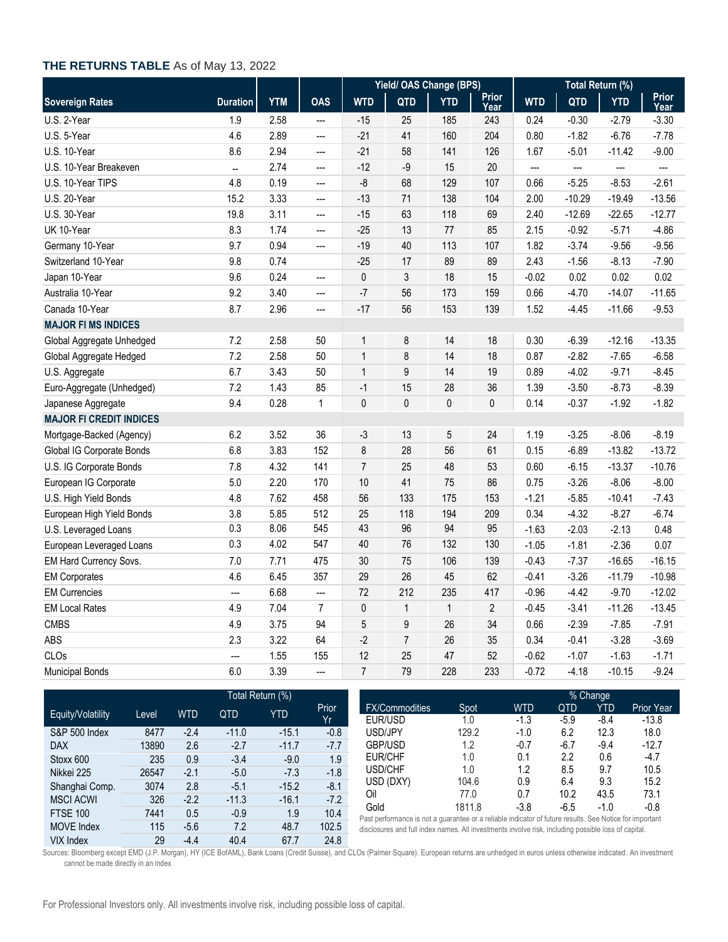# **THE RETURNS TABLE** As of May 13, 2022

|                                |                 |            |                |                |                  | Yield/ OAS Change (BPS) |                |            | Total Return (%) |            |               |
|--------------------------------|-----------------|------------|----------------|----------------|------------------|-------------------------|----------------|------------|------------------|------------|---------------|
| <b>Sovereign Rates</b>         | <b>Duration</b> | <b>YTM</b> | <b>OAS</b>     | <b>WTD</b>     | QTD              | <b>YTD</b>              | Prior<br>Year  | <b>WTD</b> | QTD              | <b>YTD</b> | Prior<br>Year |
| U.S. 2-Year                    | 1.9             | 2.58       | $---$          | $-15$          | 25               | 185                     | 243            | 0.24       | $-0.30$          | $-2.79$    | $-3.30$       |
| U.S. 5-Year                    | 4.6             | 2.89       | ---            | $-21$          | 41               | 160                     | 204            | 0.80       | $-1.82$          | $-6.76$    | $-7.78$       |
| U.S. 10-Year                   | 8.6             | 2.94       | ---            | $-21$          | 58               | 141                     | 126            | 1.67       | $-5.01$          | $-11.42$   | $-9.00$       |
| U.S. 10-Year Breakeven         | ÷.              | 2.74       | ---            | $-12$          | $-9$             | 15                      | 20             | ---        | ---              | ---        | ---           |
| U.S. 10-Year TIPS              | 4.8             | 0.19       | ---            | $-8$           | 68               | 129                     | 107            | 0.66       | $-5.25$          | $-8.53$    | $-2.61$       |
| U.S. 20-Year                   | 15.2            | 3.33       | ---            | $-13$          | 71               | 138                     | 104            | 2.00       | $-10.29$         | $-19.49$   | $-13.56$      |
| U.S. 30-Year                   | 19.8            | 3.11       | ---            | $-15$          | 63               | 118                     | 69             | 2.40       | $-12.69$         | $-22.65$   | $-12.77$      |
| UK 10-Year                     | 8.3             | 1.74       | ---            | $-25$          | 13               | 77                      | 85             | 2.15       | $-0.92$          | $-5.71$    | $-4.86$       |
| Germany 10-Year                | 9.7             | 0.94       | ---            | $-19$          | 40               | 113                     | 107            | 1.82       | $-3.74$          | $-9.56$    | $-9.56$       |
| Switzerland 10-Year            | 9.8             | 0.74       |                | $-25$          | 17               | 89                      | 89             | 2.43       | $-1.56$          | $-8.13$    | $-7.90$       |
| Japan 10-Year                  | 9.6             | 0.24       | ---            | $\pmb{0}$      | $\mathfrak{z}$   | 18                      | 15             | $-0.02$    | 0.02             | 0.02       | 0.02          |
| Australia 10-Year              | 9.2             | 3.40       | ---            | $-7$           | 56               | 173                     | 159            | 0.66       | $-4.70$          | $-14.07$   | $-11.65$      |
| Canada 10-Year                 | 8.7             | 2.96       | ---            | $-17$          | 56               | 153                     | 139            | 1.52       | $-4.45$          | $-11.66$   | $-9.53$       |
| <b>MAJOR FI MS INDICES</b>     |                 |            |                |                |                  |                         |                |            |                  |            |               |
| Global Aggregate Unhedged      | 7.2             | 2.58       | 50             | $\mathbf{1}$   | 8                | 14                      | 18             | 0.30       | $-6.39$          | $-12.16$   | $-13.35$      |
| Global Aggregate Hedged        | 7.2             | 2.58       | 50             | $\mathbf{1}$   | $\,8\,$          | 14                      | 18             | 0.87       | $-2.82$          | $-7.65$    | $-6.58$       |
| U.S. Aggregate                 | 6.7             | 3.43       | 50             | $\mathbf{1}$   | $\boldsymbol{9}$ | 14                      | 19             | 0.89       | $-4.02$          | $-9.71$    | $-8.45$       |
| Euro-Aggregate (Unhedged)      | 7.2             | 1.43       | 85             | $-1$           | 15               | 28                      | 36             | 1.39       | $-3.50$          | $-8.73$    | $-8.39$       |
| Japanese Aggregate             | 9.4             | 0.28       | $\mathbf{1}$   | $\pmb{0}$      | $\mathbf 0$      | $\pmb{0}$               | $\pmb{0}$      | 0.14       | $-0.37$          | $-1.92$    | $-1.82$       |
| <b>MAJOR FI CREDIT INDICES</b> |                 |            |                |                |                  |                         |                |            |                  |            |               |
| Mortgage-Backed (Agency)       | 6.2             | 3.52       | 36             | $-3$           | 13               | 5                       | 24             | 1.19       | $-3.25$          | $-8.06$    | $-8.19$       |
| Global IG Corporate Bonds      | 6.8             | 3.83       | 152            | 8              | 28               | 56                      | 61             | 0.15       | $-6.89$          | $-13.82$   | $-13.72$      |
| U.S. IG Corporate Bonds        | 7.8             | 4.32       | 141            | $\overline{7}$ | 25               | 48                      | 53             | 0.60       | $-6.15$          | $-13.37$   | $-10.76$      |
| European IG Corporate          | 5.0             | 2.20       | 170            | 10             | 41               | 75                      | 86             | 0.75       | $-3.26$          | $-8.06$    | $-8.00$       |
| U.S. High Yield Bonds          | 4.8             | 7.62       | 458            | 56             | 133              | 175                     | 153            | $-1.21$    | $-5.85$          | $-10.41$   | $-7.43$       |
| European High Yield Bonds      | 3.8             | 5.85       | 512            | 25             | 118              | 194                     | 209            | 0.34       | $-4.32$          | $-8.27$    | $-6.74$       |
| U.S. Leveraged Loans           | 0.3             | 8.06       | 545            | 43             | 96               | 94                      | 95             | $-1.63$    | $-2.03$          | $-2.13$    | 0.48          |
| European Leveraged Loans       | 0.3             | 4.02       | 547            | 40             | 76               | 132                     | 130            | $-1.05$    | $-1.81$          | $-2.36$    | 0.07          |
| EM Hard Currency Sovs.         | 7.0             | 7.71       | 475            | 30             | 75               | 106                     | 139            | $-0.43$    | $-7.37$          | $-16.65$   | $-16.15$      |
| <b>EM Corporates</b>           | 4.6             | 6.45       | 357            | 29             | 26               | 45                      | 62             | $-0.41$    | $-3.26$          | $-11.79$   | $-10.98$      |
| <b>EM Currencies</b>           | ---             | 6.68       | ---            | 72             | 212              | 235                     | 417            | $-0.96$    | $-4.42$          | $-9.70$    | $-12.02$      |
| <b>EM Local Rates</b>          | 4.9             | 7.04       | $\overline{7}$ | $\mathbf 0$    | $\mathbf{1}$     | $\mathbf{1}$            | $\overline{2}$ | $-0.45$    | $-3.41$          | $-11.26$   | $-13.45$      |
| <b>CMBS</b>                    | 4.9             | 3.75       | 94             | 5              | $\boldsymbol{9}$ | 26                      | 34             | 0.66       | $-2.39$          | $-7.85$    | $-7.91$       |
| <b>ABS</b>                     | 2.3             | 3.22       | 64             | $-2$           | $\overline{7}$   | 26                      | 35             | 0.34       | $-0.41$          | $-3.28$    | $-3.69$       |
| CLOs                           |                 | 1.55       | 155            | 12             | 25               | 47                      | 52             | $-0.62$    | $-1.07$          | $-1.63$    | $-1.71$       |
| <b>Municipal Bonds</b>         | 6.0             | 3.39       | …              | $\overline{7}$ | 79               | 228                     | 233            | $-0.72$    | $-4.18$          | $-10.15$   | $-9.24$       |

|                          | Total Return (%) |            |            |         |        |                                                                                                                                                                                                                | % Change |            |        |            |                   |  |  |
|--------------------------|------------------|------------|------------|---------|--------|----------------------------------------------------------------------------------------------------------------------------------------------------------------------------------------------------------------|----------|------------|--------|------------|-------------------|--|--|
|                          | Level            | <b>WTD</b> | <b>QTD</b> | YTD     | Prior  | <b>FX/Commodities</b>                                                                                                                                                                                          | Spot     | <b>WTD</b> | QTD    | <b>YTD</b> | <b>Prior Year</b> |  |  |
| Equity/Volatility        |                  |            |            |         | Yr.    | EUR/USD                                                                                                                                                                                                        | 1.0      | -1.3       | $-5.9$ | $-8.4$     | $-13.8$           |  |  |
| <b>S&amp;P 500 Index</b> | 8477             | $-2.4$     | $-11.0$    | $-15.1$ | $-0.8$ | USD/JPY                                                                                                                                                                                                        | 129.2    | $-1.0$     | 6.2    | 12.3       | 18.0              |  |  |
| <b>DAX</b>               | 13890            | 2.6        | $-2.7$     | $-11.7$ | $-7.7$ | <b>GBP/USD</b>                                                                                                                                                                                                 | 1.2      | $-0.7$     | $-6.7$ | $-9.4$     | $-12.7$           |  |  |
| Stoxx 600                | 235              | 0.9        | $-3.4$     | $-9.0$  | 1.9    | EUR/CHF                                                                                                                                                                                                        | 1.0      | 0.1        | 2.2    | 0.6        | $-4.7$            |  |  |
| Nikkei 225               | 26547            | $-2.1$     | $-5.0$     | $-7.3$  | $-1.8$ | USD/CHF                                                                                                                                                                                                        | 1.0      | 1.2        | 8.5    | 9.7        | 10.5              |  |  |
| Shanghai Comp.           | 3074             | 2.8        | $-5.1$     | $-15.2$ | $-8.1$ | USD (DXY)                                                                                                                                                                                                      | 104.6    | 0.9        | 6.4    | 9.3        | 15.2              |  |  |
| <b>MSCI ACWI</b>         | 326              | $-2.2$     | $-11.3$    | $-16.1$ | $-7.2$ | Oil                                                                                                                                                                                                            | 77.0     | 0.7        | 10.2   | 43.5       | 73.1              |  |  |
| <b>FTSE 100</b>          | 7441             | 0.5        | $-0.9$     | 1.9     | 10.4   | Gold                                                                                                                                                                                                           | 1811.8   | $-3.8$     | $-6.5$ | $-1.0$     | $-0.8$            |  |  |
| <b>MOVE</b> Index        | 115              | $-5.6$     | 7.2        | 48.7    | 102.5  | Past performance is not a quarantee or a reliable indicator of future results. See Notice for important<br>disclosures and full index names. All investments involve risk, including possible loss of capital. |          |            |        |            |                   |  |  |
| <b>VIX Index</b>         | 29               | $-4.4$     | 40.4       | 67.7    | 24.8   |                                                                                                                                                                                                                |          |            |        |            |                   |  |  |

Sources: Bloomberg except EMD (J.P. Morgan), HY (ICE BofAML), Bank Loans (Credit Suisse), and CLOs (Palmer Square). European returns are unhedged in euros unless otherwise indicated. An investment cannot be made directly in an index

For Professional Investors only. All investments involve risk, including possible loss of capital.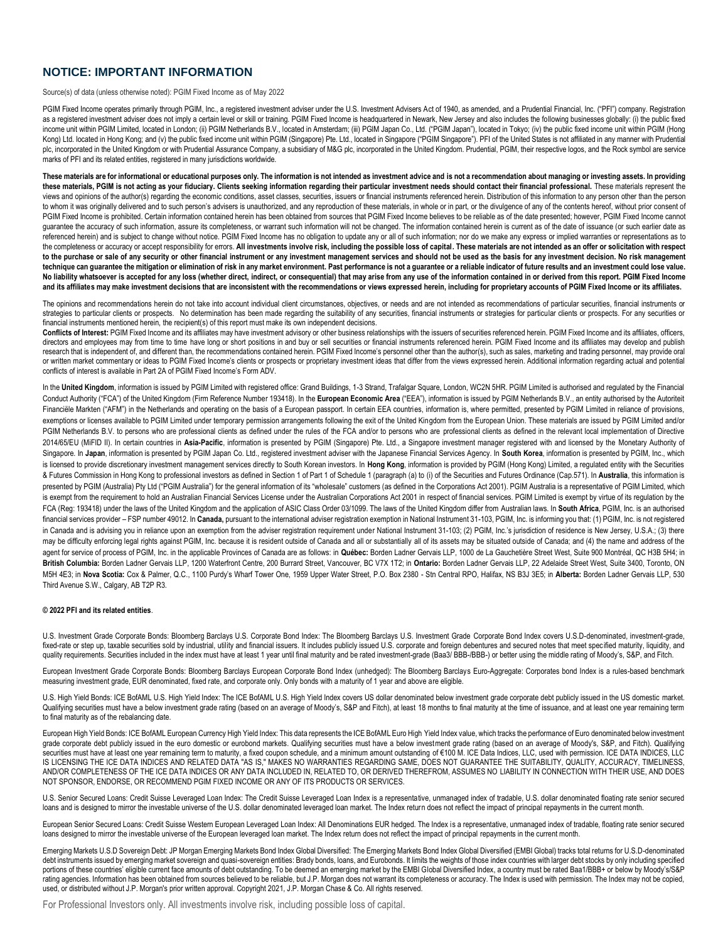# **NOTICE: IMPORTANT INFORMATION**

Source(s) of data (unless otherwise noted): PGIM Fixed Income as of May 2022

PGIM Fixed Income operates primarily through PGIM, Inc., a registered investment adviser under the U.S. Investment Advisers Act of 1940, as amended, and a Prudential Financial, Inc. ("PFI") company. Registration as a registered investment adviser does not imply a certain level or skill or training. PGIM Fixed Income is headquartered in Newark, New Jersey and also includes the following businesses globally: (i) the public fixed income unit within PGIM Limited, located in London; (ii) PGIM Netherlands B.V., located in Amsterdam; (iii) PGIM Japan Co., Ltd. ("PGIM Japan"), located in Tokyo; (iv) the public fixed income unit within PGIM (Hong Kong) Ltd. located in Hong Kong; and (v) the public fixed income unit within PGIM (Singapore) Pte. Ltd., located in Singapore ("PGIM Singapore"). PFI of the United States is not affiliated in any manner with Prudential plc, incorporated in the United Kingdom or with Prudential Assurance Company, a subsidiary of M&G plc, incorporated in the United Kingdom. Prudential, PGIM, their respective logos, and the Rock symbol are service marks of PFI and its related entities, registered in many jurisdictions worldwide.

These materials are for informational or educational purposes only. The information is not intended as investment advice and is not a recommendation about managing or investing assets. In providing these materials, PGIM is not acting as your fiduciary. Clients seeking information regarding their particular investment needs should contact their financial professional. These materials represent the views and opinions of the author(s) regarding the economic conditions, asset classes, securities, issuers or financial instruments referenced herein. Distribution of this information to any person other than the person to whom it was originally delivered and to such person's advisers is unauthorized, and any reproduction of these materials, in whole or in part, or the divulgence of any of the contents hereof, without prior consent of PGIM Fixed Income is prohibited. Certain information contained herein has been obtained from sources that PGIM Fixed Income believes to be reliable as of the date presented; however, PGIM Fixed Income cannot quarantee the accuracy of such information, assure its completeness, or warrant such information will not be changed. The information contained herein is current as of the date of issuance (or such earlier date as referenced herein) and is subject to change without notice. PGIM Fixed Income has no obligation to update any or all of such information; nor do we make any express or implied warranties or representations as to the completeness or accuracy or accept responsibility for errors. All investments involve risk, including the possible loss of capital. These materials are not intended as an offer or solicitation with respect to the purchase or sale of any security or other financial instrument or any investment management services and should not be used as the basis for any investment decision. No risk management technique can guarantee the mitigation or elimination of risk in any market environment. Past performance is not a guarantee or a reliable indicator of future results and an investment could lose value. No liability whatsoever is accepted for any loss (whether direct, indirect, or consequential) that may arise from any use of the information contained in or derived from this report. PGIM Fixed Income and its affiliates may make investment decisions that are inconsistent with the recommendations or views expressed herein, including for proprietary accounts of PGIM Fixed Income or its affiliates.

The opinions and recommendations herein do not take into account individual client circumstances, objectives, or needs and are not intended as recommendations of particular securities, financial instruments or strategies to particular clients or prospects. No determination has been made regarding the suitability of any securities, financial instruments or strategies for particular clients or prospects. For any securities or financial instruments mentioned herein, the recipient(s) of this report must make its own independent decisions.

Conflicts of Interest: PGIM Fixed Income and its affiliates may have investment advisory or other business relationships with the issuers of securities referenced herein. PGIM Fixed Income and its affiliates, officers, directors and employees may from time to time have long or short positions in and buy or sell securities or financial instruments referenced herein. PGIM Fixed Income and its affiliates may develop and publish research that is independent of, and different than, the recommendations contained herein. PGIM Fixed Income's personnel other than the author(s), such as sales, marketing and trading personnel, may provide oral or written market commentary or ideas to PGIM Fixed Income's clients or prospects or proprietary investment ideas that differ from the views expressed herein. Additional information regarding actual and potential conflicts of interest is available in Part 2A of PGIM Fixed Income's Form ADV.

In the **United Kingdom**, information is issued by PGIM Limited with registered office: Grand Buildings, 1-3 Strand, Trafalgar Square, London, WC2N 5HR. PGIM Limited is authorised and regulated by the Financial Conduct Authority ("FCA") of the United Kingdom (Firm Reference Number 193418). In the European Economic Area ("EEA"), information is issued by PGIM Netherlands B.V., an entity authorised by the Autoriteit Financiële Markten ("AFM") in the Netherlands and operating on the basis of a European passport. In certain EEA countries, information is, where permitted, presented by PGIM Limited in reliance of provisions, exemptions or licenses available to PGIM Limited under temporary permission arrangements following the exit of the United Kingdom from the European Union. These materials are issued by PGIM Limited and/or PGIM Netherlands B.V. to persons who are professional clients as defined under the rules of the FCA and/or to persons who are professional clients as defined in the relevant local implementation of Directive 2014/65/EU (MiFID II). In certain countries in Asia-Pacific, information is presented by PGIM (Singapore) Pte. Ltd., a Singapore investment manager registered with and licensed by the Monetary Authority of Singapore. In **Japan**, information is presented by PGIM Japan Co. Ltd., registered investment adviser with the Japanese Financial Services Agency. In **South Korea**, information is presented by PGIM, Inc., which is licensed to provide discretionary investment management services directly to South Korean investors. In **Hong Kong**, information is provided by PGIM (Hong Kong) Limited, a regulated entity with the Securities & Futures Commission in Hong Kong to professional investors as defined in Section 1 of Part 1 of Schedule 1 (paragraph (a) to (i) of the Securities and Futures Ordinance (Cap.571). In **Australia**, this information is presented by PGIM (Australia) Pty Ltd ("PGIM Australia") for the general information of its "wholesale" customers (as defined in the Corporations Act 2001). PGIM Australia is a representative of PGIM Limited, which is exempt from the requirement to hold an Australian Financial Services License under the Australian Corporations Act 2001 in respect of financial services. PGIM Limited is exempt by virtue of its regulation by the FCA (Reg: 193418) under the laws of the United Kingdom and the application of ASIC Class Order 03/1099. The laws of the United Kingdom differ from Australian laws. In **South Africa**, PGIM, Inc. is an authorised financial services provider – FSP number 49012. In Canada, pursuant to the international adviser registration exemption in National Instrument 31-103, PGIM, Inc. is informing you that: (1) PGIM, Inc. is not registered in Canada and is advising you in reliance upon an exemption from the adviser registration requirement under National Instrument 31-103; (2) PGIM, Inc.'s jurisdiction of residence is New Jersey, U.S.A.; (3) there may be difficulty enforcing legal rights against PGIM, Inc. because it is resident outside of Canada and all or substantially all of its assets may be situated outside of Canada; and (4) the name and address of the agent for service of process of PGIM, Inc. in the applicable Provinces of Canada are as follows: in Québec: Borden Ladner Gervais LLP, 1000 de La Gauchetière Street West, Suite 900 Montréal, QC H3B 5H4; in **British Columbia:** Borden Ladner Gervais LLP, 1200 Waterfront Centre, 200 Burrard Street, Vancouver, BC V7X 1T2; in **Ontario:** Borden Ladner Gervais LLP, 22 Adelaide Street West, Suite 3400, Toronto, ON M5H 4E3; in **Nova Scotia:** Cox & Palmer, Q.C., 1100 Purdy's Wharf Tower One, 1959 Upper Water Street, P.O. Box 2380 - Stn Central RPO, Halifax, NS B3J 3E5; in **Alberta:** Borden Ladner Gervais LLP, 530 Third Avenue S.W., Calgary, AB T2P R3.

#### **© 2022 PFI and its related entities**.

U.S. Investment Grade Corporate Bonds: Bloomberg Barclays U.S. Corporate Bond Index: The Bloomberg Barclays U.S. Investment Grade Corporate Bond Index covers U.S.D-denominated, investment-grade, fixed-rate or step up, taxable securities sold by industrial, utility and financial issuers. It includes publicly issued U.S. corporate and foreign debentures and secured notes that meet specified maturity, liquidity, and quality requirements. Securities included in the index must have at least 1 year until final maturity and be rated investment-grade (Baa3/ BBB-/BBB-) or better using the middle rating of Moody's, S&P, and Fitch.

European Investment Grade Corporate Bonds: Bloomberg Barclays European Corporate Bond Index (unhedged): The Bloomberg Barclays Euro-Aggregate: Corporates bond Index is a rules-based benchmark measuring investment grade, EUR denominated, fixed rate, and corporate only. Only bonds with a maturity of 1 year and above are eligible.

U.S. High Yield Bonds: ICE BofAML U.S. High Yield Index: The ICE BofAML U.S. High Yield Index covers US dollar denominated below investment grade corporate debt publicly issued in the US domestic market. Qualifying securities must have a below investment grade rating (based on an average of Moody's, S&P and Fitch), at least 18 months to final maturity at the time of issuance, and at least one year remaining term to final maturity as of the rebalancing date.

European High Yield Bonds: ICE BofAML European Currency High Yield Index: This data represents the ICE BofAML Euro High Yield Index value, which tracks the performance of Euro denominated below investment grade corporate debt publicly issued in the euro domestic or eurobond markets. Qualifying securities must have a below investment grade rating (based on an average of Moody's, S&P, and Fitch). Qualifying securities must have at least one year remaining term to maturity, a fixed coupon schedule, and a minimum amount outstanding of €100 M. ICE Data Indices, LLC, used with permission. ICE DATA INDICES, LLC IS LICENSING THE ICE DATA INDICES AND RELATED DATA "AS IS," MAKES NO WARRANTIES REGARDING SAME, DOES NOT GUARANTEE THE SUITABILITY, QUALITY, ACCURACY, TIMELINESS, AND/OR COMPLETENESS OF THE ICE DATA INDICES OR ANY DATA INCLUDED IN, RELATED TO, OR DERIVED THEREFROM, ASSUMES NO LIABILITY IN CONNECTION WITH THEIR USE, AND DOES NOT SPONSOR, ENDORSE, OR RECOMMEND PGIM FIXED INCOME OR ANY OF ITS PRODUCTS OR SERVICES.

U.S. Senior Secured Loans: Credit Suisse Leveraged Loan Index: The Credit Suisse Leveraged Loan Index is a representative, unmanaged index of tradable, U.S. dollar denominated floating rate senior secured loans and is designed to mirror the investable universe of the U.S. dollar denominated leveraged loan market. The Index return does not reflect the impact of principal repayments in the current month.

European Senior Secured Loans: Credit Suisse Western European Leveraged Loan Index: All Denominations EUR hedged. The Index is a representative, unmanaged index of tradable, floating rate senior secured loans designed to mirror the investable universe of the European leveraged loan market. The Index return does not reflect the impact of principal repayments in the current month.

Emerging Markets U.S.D Sovereign Debt: JP Morgan Emerging Markets Bond Index Global Diversified: The Emerging Markets Bond Index Global Diversified (EMBI Global) tracks total returns for U.S.D-denominated debt instruments issued by emerging market sovereign and quasi-sovereign entities: Brady bonds, loans, and Eurobonds. It limits the weights of those index countries with larger debt stocks by only including specified portions of these countries' eligible current face amounts of debt outstanding. To be deemed an emerging market by the EMBI Global Diversified Index, a country must be rated Baa1/BBB+ or below by Moody's/S&P rating agencies. Information has been obtained from sources believed to be reliable, but J.P. Morgan does not warrant its completeness or accuracy. The Index is used with permission. The Index may not be copied, used, or distributed without J.P. Morgan's prior written approval. Copyright 2021, J.P. Morgan Chase & Co. All rights reserved.

For Professional Investors only. All investments involve risk, including possible loss of capital.